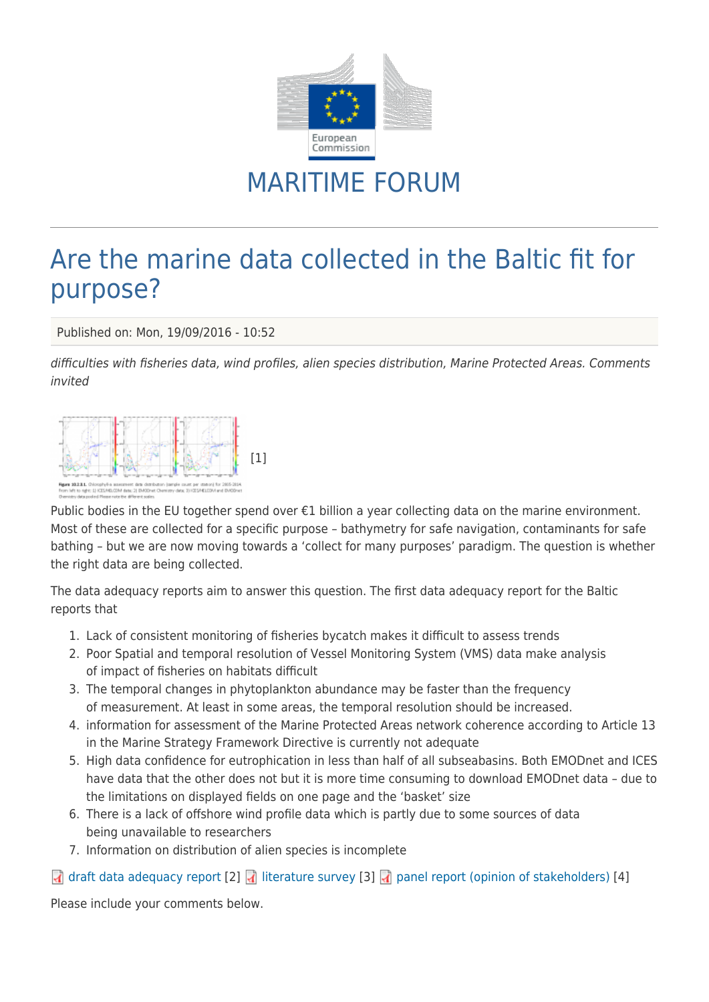

## MARITIME FORUM

## Are the marine data collected in the Baltic fit for purpose?

Published on: Mon, 19/09/2016 - 10:52

difficulties with fisheries data, wind profiles, alien species distribution, Marine Protected Areas. Comments invited



Public bodies in the EU together spend over €1 billion a year collecting data on the marine environment. Most of these are collected for a specific purpose – bathymetry for safe navigation, contaminants for safe bathing – but we are now moving towards a 'collect for many purposes' paradigm. The question is whether the right data are being collected.

The data adequacy reports aim to answer this question. The first data adequacy report for the Baltic reports that

- 1. Lack of consistent monitoring of fisheries bycatch makes it difficult to assess trends
- 2. Poor Spatial and temporal resolution of Vessel Monitoring System (VMS) data make analysis of impact of fisheries on habitats difficult
- 3. The temporal changes in phytoplankton abundance may be faster than the frequency of measurement. At least in some areas, the temporal resolution should be increased.
- 4. information for assessment of the Marine Protected Areas network coherence according to Article 13 in the Marine Strategy Framework Directive is currently not adequate
- 5. High data confidence for eutrophication in less than half of all subseabasins. Both EMODnet and ICES have data that the other does not but it is more time consuming to download EMODnet data – due to the limitations on displayed fields on one page and the 'basket' size
- 6. There is a lack of offshore wind profile data which is partly due to some sources of data being unavailable to researchers
- 7. Information on distribution of alien species is incomplete

## [draft data adequacy report](https://webgate.ec.europa.eu/maritimeforum/sites/maritimeforum/system/system/files/BSCP_DAR_I_20160915.pdf) [2] diterature survey [3] d [panel report \(opinion of stakeholders\)](https://webgate.ec.europa.eu/maritimeforum/system/files/Report%20from%201%20Expert%20meeting-final.pdf) [4]

Please include your comments below.